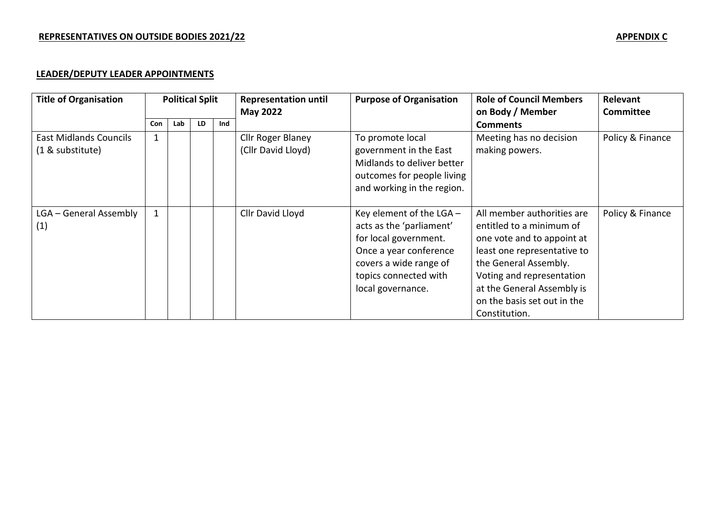# **LEADER/DEPUTY LEADER APPOINTMENTS**

| <b>Title of Organisation</b>                      | <b>Political Split</b> |     |    |     | <b>Representation until</b><br><b>May 2022</b> | <b>Purpose of Organisation</b>                                                                                                                                                  | <b>Role of Council Members</b><br>on Body / Member                                                                                                                                                                                                      | Relevant<br>Committee |
|---------------------------------------------------|------------------------|-----|----|-----|------------------------------------------------|---------------------------------------------------------------------------------------------------------------------------------------------------------------------------------|---------------------------------------------------------------------------------------------------------------------------------------------------------------------------------------------------------------------------------------------------------|-----------------------|
|                                                   | <b>Con</b>             | Lab | LD | Ind |                                                |                                                                                                                                                                                 | <b>Comments</b>                                                                                                                                                                                                                                         |                       |
| <b>East Midlands Councils</b><br>(1 & substitute) | $\mathbf{1}$           |     |    |     | Cllr Roger Blaney<br>(Cllr David Lloyd)        | To promote local<br>government in the East<br>Midlands to deliver better<br>outcomes for people living<br>and working in the region.                                            | Meeting has no decision<br>making powers.                                                                                                                                                                                                               | Policy & Finance      |
| LGA - General Assembly<br>(1)                     | $\mathbf{1}$           |     |    |     | Cllr David Lloyd                               | Key element of the LGA -<br>acts as the 'parliament'<br>for local government.<br>Once a year conference<br>covers a wide range of<br>topics connected with<br>local governance. | All member authorities are<br>entitled to a minimum of<br>one vote and to appoint at<br>least one representative to<br>the General Assembly.<br>Voting and representation<br>at the General Assembly is<br>on the basis set out in the<br>Constitution. | Policy & Finance      |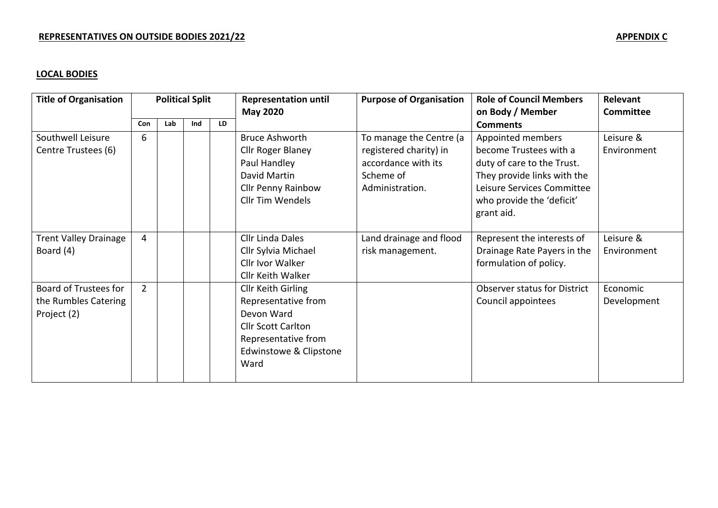# **LOCAL BODIES**

| <b>Title of Organisation</b> | <b>Political Split</b> |     |     |                 | <b>Representation until</b> | <b>Purpose of Organisation</b> | <b>Role of Council Members</b>      | Relevant    |
|------------------------------|------------------------|-----|-----|-----------------|-----------------------------|--------------------------------|-------------------------------------|-------------|
|                              |                        |     |     | <b>May 2020</b> |                             | on Body / Member               | Committee                           |             |
|                              | Con                    | Lab | Ind | LD              |                             |                                | <b>Comments</b>                     |             |
| Southwell Leisure            | 6                      |     |     |                 | <b>Bruce Ashworth</b>       | To manage the Centre (a        | Appointed members                   | Leisure &   |
| Centre Trustees (6)          |                        |     |     |                 | Cllr Roger Blaney           | registered charity) in         | become Trustees with a              | Environment |
|                              |                        |     |     |                 | Paul Handley                | accordance with its            | duty of care to the Trust.          |             |
|                              |                        |     |     |                 | David Martin                | Scheme of                      | They provide links with the         |             |
|                              |                        |     |     |                 | <b>Cllr Penny Rainbow</b>   | Administration.                | Leisure Services Committee          |             |
|                              |                        |     |     |                 | Cllr Tim Wendels            |                                | who provide the 'deficit'           |             |
|                              |                        |     |     |                 |                             |                                | grant aid.                          |             |
|                              |                        |     |     |                 |                             |                                |                                     |             |
| <b>Trent Valley Drainage</b> | 4                      |     |     |                 | Cllr Linda Dales            | Land drainage and flood        | Represent the interests of          | Leisure &   |
| Board (4)                    |                        |     |     |                 | Cllr Sylvia Michael         | risk management.               | Drainage Rate Payers in the         | Environment |
|                              |                        |     |     |                 | Cllr Ivor Walker            |                                | formulation of policy.              |             |
|                              |                        |     |     |                 | Cllr Keith Walker           |                                |                                     |             |
| Board of Trustees for        | $\overline{2}$         |     |     |                 | Cllr Keith Girling          |                                | <b>Observer status for District</b> | Economic    |
| the Rumbles Catering         |                        |     |     |                 | Representative from         |                                | Council appointees                  | Development |
| Project (2)                  |                        |     |     |                 | Devon Ward                  |                                |                                     |             |
|                              |                        |     |     |                 | <b>Cllr Scott Carlton</b>   |                                |                                     |             |
|                              |                        |     |     |                 | Representative from         |                                |                                     |             |
|                              |                        |     |     |                 | Edwinstowe & Clipstone      |                                |                                     |             |
|                              |                        |     |     |                 | Ward                        |                                |                                     |             |
|                              |                        |     |     |                 |                             |                                |                                     |             |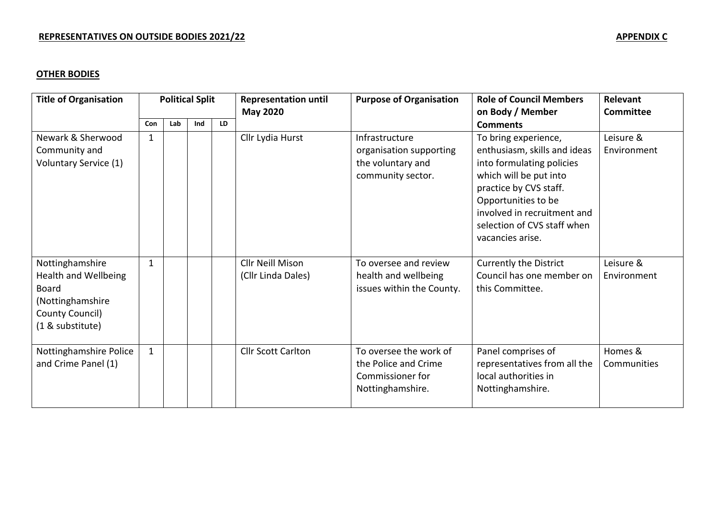# **OTHER BODIES**

| <b>Title of Organisation</b>                                                                                              | <b>Political Split</b> |     |     |    | <b>Representation until</b><br><b>May 2020</b> | <b>Purpose of Organisation</b>                                                         | <b>Role of Council Members</b><br>on Body / Member                                                                                                                                                                                             | Relevant<br>Committee    |
|---------------------------------------------------------------------------------------------------------------------------|------------------------|-----|-----|----|------------------------------------------------|----------------------------------------------------------------------------------------|------------------------------------------------------------------------------------------------------------------------------------------------------------------------------------------------------------------------------------------------|--------------------------|
|                                                                                                                           | Con                    | Lab | Ind | LD |                                                |                                                                                        | <b>Comments</b>                                                                                                                                                                                                                                |                          |
| Newark & Sherwood<br>Community and<br>Voluntary Service (1)                                                               | 1                      |     |     |    | Cllr Lydia Hurst                               | Infrastructure<br>organisation supporting<br>the voluntary and<br>community sector.    | To bring experience,<br>enthusiasm, skills and ideas<br>into formulating policies<br>which will be put into<br>practice by CVS staff.<br>Opportunities to be<br>involved in recruitment and<br>selection of CVS staff when<br>vacancies arise. | Leisure &<br>Environment |
| Nottinghamshire<br><b>Health and Wellbeing</b><br><b>Board</b><br>(Nottinghamshire<br>County Council)<br>(1 & substitute) | 1                      |     |     |    | <b>Cllr Neill Mison</b><br>(Cllr Linda Dales)  | To oversee and review<br>health and wellbeing<br>issues within the County.             | <b>Currently the District</b><br>Council has one member on<br>this Committee.                                                                                                                                                                  | Leisure &<br>Environment |
| Nottinghamshire Police<br>and Crime Panel (1)                                                                             | $\mathbf{1}$           |     |     |    | <b>Cllr Scott Carlton</b>                      | To oversee the work of<br>the Police and Crime<br>Commissioner for<br>Nottinghamshire. | Panel comprises of<br>representatives from all the<br>local authorities in<br>Nottinghamshire.                                                                                                                                                 | Homes &<br>Communities   |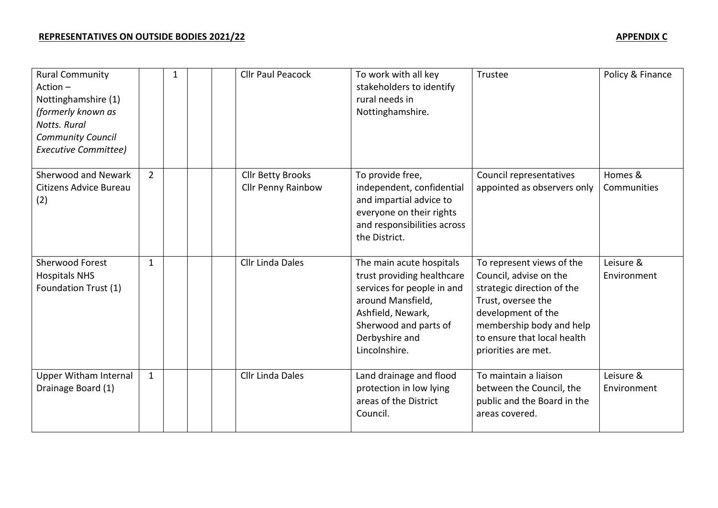| <b>Rural Community</b><br>$Action -$<br>Nottinghamshire (1)<br>(formerly known as<br><b>Notts, Rural</b><br><b>Community Council</b><br>Executive Committee) |              | 1 |  | <b>Cllr Paul Peacock</b>                       | To work with all key<br>stakeholders to identify<br>rural needs in<br>Nottinghamshire.                                                                                                     | Trustee                                                                                                                                                                                                         | Policy & Finance         |
|--------------------------------------------------------------------------------------------------------------------------------------------------------------|--------------|---|--|------------------------------------------------|--------------------------------------------------------------------------------------------------------------------------------------------------------------------------------------------|-----------------------------------------------------------------------------------------------------------------------------------------------------------------------------------------------------------------|--------------------------|
| Sherwood and Newark<br>Citizens Advice Bureau<br>(2)                                                                                                         | $2^{\circ}$  |   |  | <b>Cllr Betty Brooks</b><br>Cllr Penny Rainbow | To provide free,<br>independent, confidential<br>and impartial advice to<br>everyone on their rights<br>and responsibilities across<br>the District.                                       | Council representatives<br>appointed as observers only                                                                                                                                                          | Homes &<br>Communities   |
| Sherwood Forest<br><b>Hospitals NHS</b><br>Foundation Trust (1)                                                                                              | $\mathbf{1}$ |   |  | Cllr Linda Dales                               | The main acute hospitals<br>trust providing healthcare<br>services for people in and<br>around Mansfield,<br>Ashfield, Newark,<br>Sherwood and parts of<br>Derbyshire and<br>Lincolnshire. | To represent views of the<br>Council, advise on the<br>strategic direction of the<br>Trust, oversee the<br>development of the<br>membership body and help<br>to ensure that local health<br>priorities are met. | Leisure &<br>Environment |
| <b>Upper Witham Internal</b><br>Drainage Board (1)                                                                                                           | $\mathbf{1}$ |   |  | <b>Cllr Linda Dales</b>                        | Land drainage and flood<br>protection in low lying<br>areas of the District<br>Council.                                                                                                    | To maintain a liaison<br>between the Council, the<br>public and the Board in the<br>areas covered.                                                                                                              | Leisure &<br>Environment |